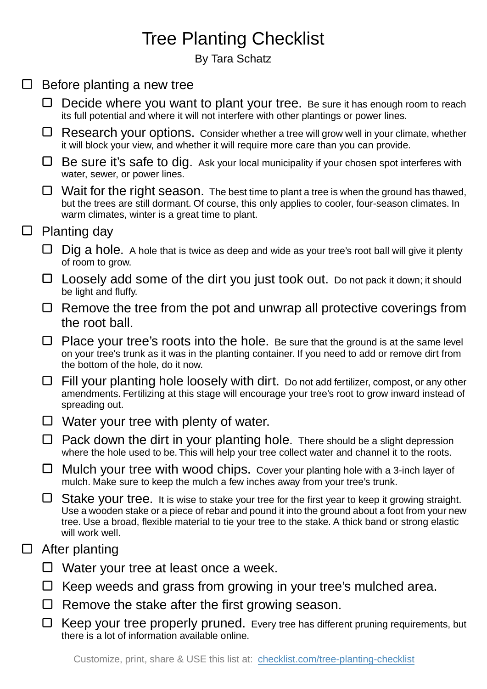## Tree Planting Checklist

By Tara Schatz

| $\Box$ | Before planting a new tree |                                                                                                                                                                                                                                                                                                                           |
|--------|----------------------------|---------------------------------------------------------------------------------------------------------------------------------------------------------------------------------------------------------------------------------------------------------------------------------------------------------------------------|
|        | ⊔                          | Decide where you want to plant your tree. Be sure it has enough room to reach<br>its full potential and where it will not interfere with other plantings or power lines.                                                                                                                                                  |
|        | ⊔                          | Research your options. Consider whether a tree will grow well in your climate, whether<br>it will block your view, and whether it will require more care than you can provide.                                                                                                                                            |
|        | └                          | Be sure it's safe to dig. Ask your local municipality if your chosen spot interferes with<br>water, sewer, or power lines.                                                                                                                                                                                                |
|        | ⊔                          | Wait for the right season. The best time to plant a tree is when the ground has thawed,<br>but the trees are still dormant. Of course, this only applies to cooler, four-season climates. In<br>warm climates, winter is a great time to plant.                                                                           |
| $\Box$ | <b>Planting day</b>        |                                                                                                                                                                                                                                                                                                                           |
|        |                            | Dig a hole. A hole that is twice as deep and wide as your tree's root ball will give it plenty<br>of room to grow.                                                                                                                                                                                                        |
|        | ⊔                          | Loosely add some of the dirt you just took out. Do not pack it down; it should<br>be light and fluffy.                                                                                                                                                                                                                    |
|        | ⊔                          | Remove the tree from the pot and unwrap all protective coverings from<br>the root ball.                                                                                                                                                                                                                                   |
|        | ⊔                          | Place your tree's roots into the hole. Be sure that the ground is at the same level<br>on your tree's trunk as it was in the planting container. If you need to add or remove dirt from<br>the bottom of the hole, do it now.                                                                                             |
|        | ⊔                          | Fill your planting hole loosely with dirt. Do not add fertilizer, compost, or any other<br>amendments. Fertilizing at this stage will encourage your tree's root to grow inward instead of<br>spreading out.                                                                                                              |
|        | ⊔                          | Water your tree with plenty of water.                                                                                                                                                                                                                                                                                     |
|        |                            | Pack down the dirt in your planting hole. There should be a slight depression<br>where the hole used to be. This will help your tree collect water and channel it to the roots.                                                                                                                                           |
|        |                            | Mulch your tree with wood chips. Cover your planting hole with a 3-inch layer of<br>mulch. Make sure to keep the mulch a few inches away from your tree's trunk.                                                                                                                                                          |
|        | ⊔                          | Stake your tree. It is wise to stake your tree for the first year to keep it growing straight.<br>Use a wooden stake or a piece of rebar and pound it into the ground about a foot from your new<br>tree. Use a broad, flexible material to tie your tree to the stake. A thick band or strong elastic<br>will work well. |
| ⊔      | After planting             |                                                                                                                                                                                                                                                                                                                           |
|        |                            | Water your tree at least once a week.                                                                                                                                                                                                                                                                                     |
|        |                            | Keep weeds and grass from growing in your tree's mulched area.                                                                                                                                                                                                                                                            |
|        |                            | Remove the stake after the first growing season.                                                                                                                                                                                                                                                                          |
|        | ப                          | Keep your tree properly pruned. Every tree has different pruning requirements, but<br>there is a lot of information available online.                                                                                                                                                                                     |